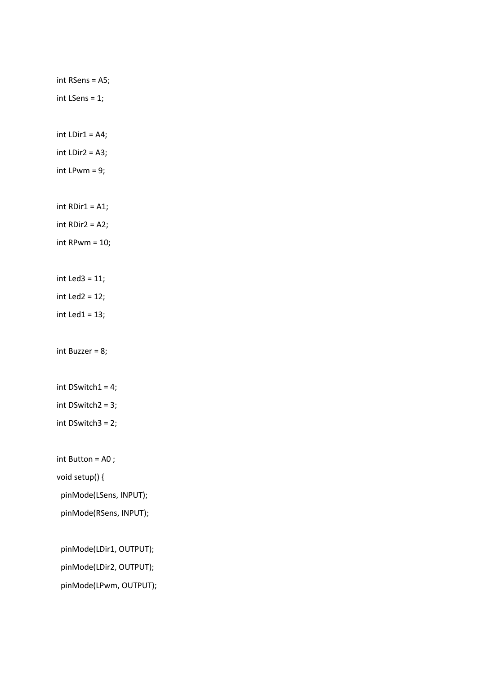int RSens = A5; int LSens = 1; int  $LDir1 = A4;$ int LDir2 = A3; int LPwm =  $9$ ;  $int$  RDir1 = A1; int RDir2 = A2; int RPwm = 10; int Led3 = 11; int Led $2 = 12$ ; int Led $1 = 13$ ; int Buzzer = 8; int DSwitch1 = 4; int DSwitch2 = 3; int DSwitch3 = 2; int Button = A0 ; void setup() { pinMode(LSens, INPUT); pinMode(RSens, INPUT); pinMode(LDir1, OUTPUT); pinMode(LDir2, OUTPUT); pinMode(LPwm, OUTPUT);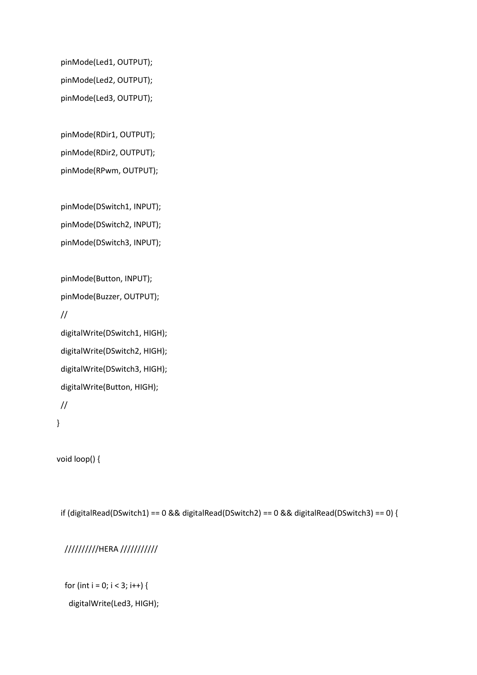pinMode(Led1, OUTPUT); pinMode(Led2, OUTPUT); pinMode(Led3, OUTPUT);

 pinMode(RDir1, OUTPUT); pinMode(RDir2, OUTPUT); pinMode(RPwm, OUTPUT);

 pinMode(DSwitch1, INPUT); pinMode(DSwitch2, INPUT); pinMode(DSwitch3, INPUT);

 pinMode(Button, INPUT); pinMode(Buzzer, OUTPUT); // digitalWrite(DSwitch1, HIGH); digitalWrite(DSwitch2, HIGH); digitalWrite(DSwitch3, HIGH); digitalWrite(Button, HIGH);

//

```
}
```
void loop() {

if (digitalRead(DSwitch1) == 0 && digitalRead(DSwitch2) == 0 && digitalRead(DSwitch3) == 0) {

//////////HERA ///////////

for (int i = 0; i < 3; i++) {

digitalWrite(Led3, HIGH);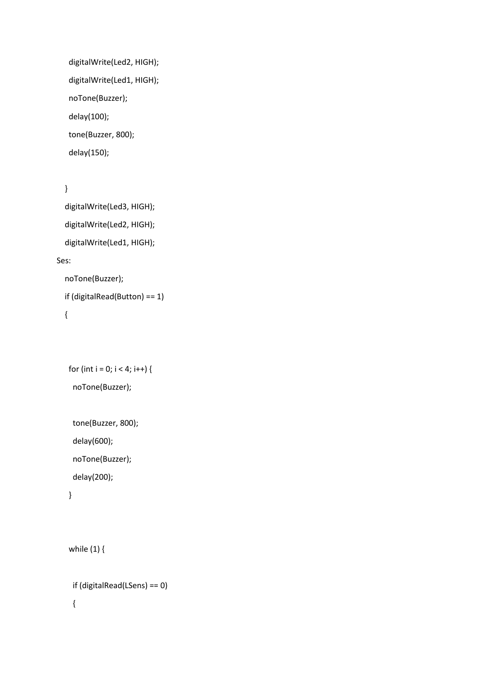```
 digitalWrite(Led2, HIGH);
digitalWrite(Led1, HIGH);
noTone(Buzzer);
delay(100);
tone(Buzzer, 800);
delay(150);
```

```
 }
```
 digitalWrite(Led3, HIGH); digitalWrite(Led2, HIGH); digitalWrite(Led1, HIGH); Ses: noTone(Buzzer);

if (digitalRead(Button) == 1)

```
 {
```

```
for (int i = 0; i < 4; i++) {
```
noTone(Buzzer);

```
 tone(Buzzer, 800);
delay(600);
```
noTone(Buzzer);

delay(200);

```
 }
```

```
 while (1) {
```

```
 if (digitalRead(LSens) == 0)
{
```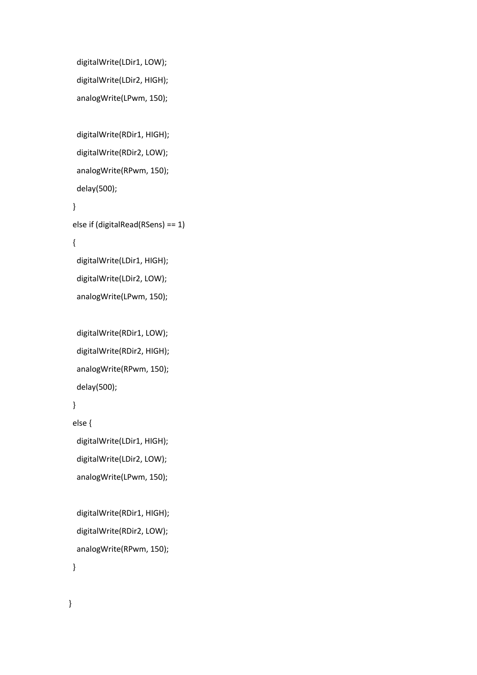```
 digitalWrite(LDir1, LOW);
digitalWrite(LDir2, HIGH);
analogWrite(LPwm, 150);
```

```
 digitalWrite(RDir1, HIGH);
digitalWrite(RDir2, LOW);
analogWrite(RPwm, 150);
delay(500);
```

```
 }
else if (digitalRead(RSens) == 1)
{
 digitalWrite(LDir1, HIGH);
```
 digitalWrite(LDir2, LOW); analogWrite(LPwm, 150);

```
 digitalWrite(RDir1, LOW);
digitalWrite(RDir2, HIGH);
analogWrite(RPwm, 150);
delay(500);
```

```
 }
```

```
 else {
```

```
 digitalWrite(LDir1, HIGH);
digitalWrite(LDir2, LOW);
analogWrite(LPwm, 150);
```

```
 digitalWrite(RDir1, HIGH);
digitalWrite(RDir2, LOW);
analogWrite(RPwm, 150);
```

```
 }
```